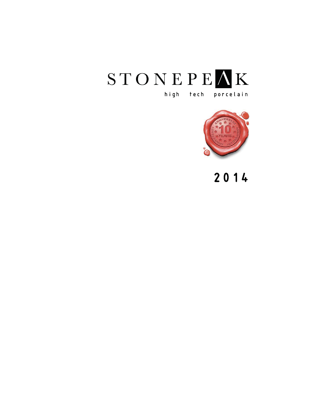



## 2014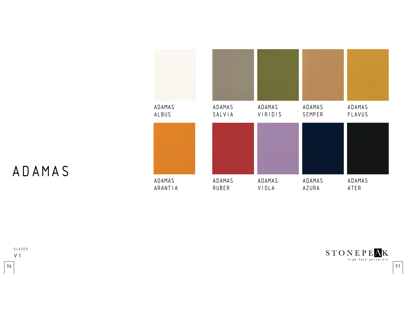

# ADAMAS



 $\begin{minipage}{.4\linewidth} \textbf{STO} \hspace{1mm} \textbf{N} \hspace{1mm} \textbf{E} \hspace{1mm} \textbf{P} \hspace{1mm} \textbf{E} \hspace{1mm} \textbf{A} \hspace{1mm} \textbf{K} \\ \textbf{high}\hspace{1mm} \textbf{t}\hspace{1mm} \textbf{c} \hspace{1mm} \textbf{t} \hspace{1mm} \textbf{b} \hspace{1mm} \textbf{b} \hspace{1mm} \textbf{c} \hspace{1mm} \textbf{c} \hspace{1mm} \textbf{t} \hspace{1mm} \textbf{b$ 

 $\sim$  197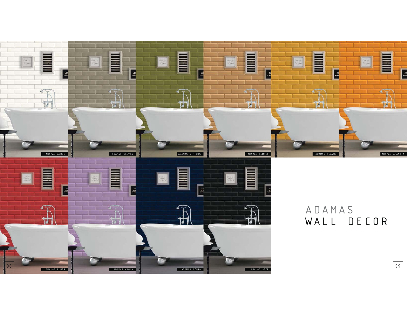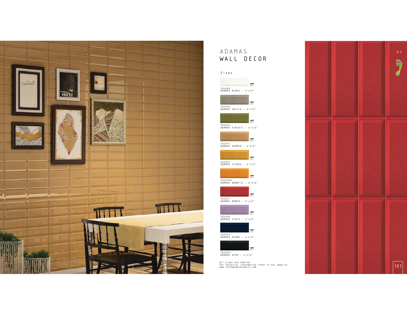

### ADAMASWALL DECOR

#### Sizes





















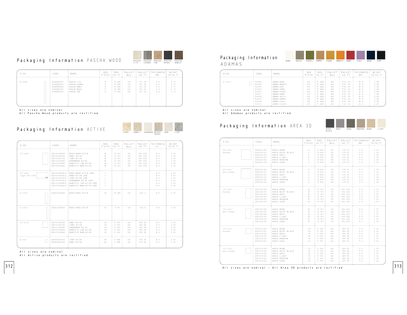

#### Packaging Information PASCHA WOOD

| $S$   $Z$ E     | CODE                                                               | NAME                                                                           | BOX.<br>Pieces !sq.ft | BOX.                                                     | PALLET<br>Box.             | sq.ft                                          | PALLET   THICKNESS  <br>mm.     | WEIGHT<br>: Lb/sq.ft                 |
|-----------------|--------------------------------------------------------------------|--------------------------------------------------------------------------------|-----------------------|----------------------------------------------------------|----------------------------|------------------------------------------------|---------------------------------|--------------------------------------|
| $8" \times 96"$ | USH0896091<br>USH0896092<br>USH0896096<br>USH0896095<br>USH0896094 | ! PASCHA LITE<br>: PASCHA LOUNGE<br>PASCHA NOBLE<br>PASCHA REGAL<br>PASCHA TAN |                       | 15.585<br>15.585 :<br>$15.585$ ;<br>$15.585$ ;<br>15.585 | 45<br>45<br>45<br>45<br>45 | 701.33<br>701.33<br>701.33<br>701.33<br>701.33 | 6.0<br>6.0<br>6.0<br>6 0<br>6.0 | 3.17<br>3.17<br>3 17<br>3 17<br>3 17 |

All sizes are nominal

All Pascha Wood products are rectified

#### Packaging Information ACTIVE



| $S$   $Z$ E                                    | CODE                                                                                             | NAME                                                                                                                                                                                          | BOX.<br>Pieces sq.ft          | <b>BOX</b>                                               | PAILFT<br>Box                    | PALLET<br>$sq$ . ft                                            | <b>THICKNESS</b><br>mm.                | WEIGHT<br>$L b/sq$ . ft                      |
|------------------------------------------------|--------------------------------------------------------------------------------------------------|-----------------------------------------------------------------------------------------------------------------------------------------------------------------------------------------------|-------------------------------|----------------------------------------------------------|----------------------------------|----------------------------------------------------------------|----------------------------------------|----------------------------------------------|
| 12 "x 24"                                      | USH1224085AC<br>USH1224002AC<br>: USG1224001AC<br>: USG1224039AC<br>USG1224098AC<br>USG1224096AC | ! BEACH HOUSE ACTIVE<br>HONEY ACTIVE<br>IVORY ACTIVE<br>SHENANDOAH ACTIVE<br>QUARTZITE LIME ACTIVE<br>QUARTZITE MOON AFTIVE                                                                   | R<br>R.<br>R<br>R<br>R.<br>R. | 15.751<br>15.751<br>15.751<br>15.751<br>15.751<br>15.751 | 32<br>32<br>32<br>32<br>32<br>32 | 504.032<br>504.032<br>504.032<br>504.032<br>504.032<br>504.032 | 8.0<br>8.0<br>8.0<br>8.0<br>8 0<br>8.0 | 3.55<br>3.55<br>3.55<br>3.55<br>3.55<br>3.55 |
| $12''$ x $24''$<br>logo ACTIVE<br>$\times$ 0.0 | USG1224001ALG<br>USG1224039ALG<br>USG1224098ALG<br>USG1224096ALG                                 | USH1224085ALG . BEACH HOUSE ACTIVE LOGO<br>USH1224002ALG ! HONEY ACTIVE LOGO<br>: IVORY ACTIVE LOGO<br>: SHENANDOAH ACTIVE LOGO<br>: QUARTZITE LIME ACTIVE LOGO<br>QUARTZITE MOON ACTIVE LOGO | 1<br>$\mathbf{1}$             | ۰                                                        | ×.                               |                                                                | 8.0<br>8.0<br>8.0<br>8.0<br>8.0<br>B.0 | 3.55<br>3.55<br>3.55<br>3.55<br>3.55<br>3.55 |
| 6 " x 2 4"                                     | USG0624085AC                                                                                     | <b>BEACH HOUSE ACTIVE</b>                                                                                                                                                                     | 1.6                           | 15.585                                                   | 60                               | 623 4                                                          | 8 0                                    | 3.55                                         |
| $4$ " $\times$ 2 4 "                           | USG0424085AF                                                                                     | BEACH HOUSE ACTIVE                                                                                                                                                                            | 14                            | 9 0 9                                                    | 40                               | 363 6                                                          | 8 0                                    | 3.55                                         |
| 12 "x 12"                                      | USH1212002AC<br>USH1212001AC<br>US61212039AF<br>USG1212096AC<br>USG1212098AC                     | HONEY ACTIVE<br>! IVORY ACTIVE<br>SHENANDOAH ACTIVE<br>QUARTZITE LIME ACTIVE<br>QUARTZITE MOON ACTIVE                                                                                         | 10<br>10<br>10<br>10<br>10    | 9.793<br>9.793<br>9.793<br>9.793<br>9.793                | 60<br>60<br>60<br>60<br>60       | 587.58<br>587.58<br>587.58<br>587.58<br>587.58                 | 8 0<br>8.0<br>8 0<br>8.0<br>8.0        | 3.55<br>3.55<br>3.55<br>3.55<br>3.55         |
| $6$ " $\times$ $6$ "                           | USH0606001AC<br>USH0606002AF                                                                     | IVORY ACTIVE<br>HONEY ACTIVE                                                                                                                                                                  | 40<br>40                      | 9.588<br>9.588                                           | 60<br>60                         | 575.28<br>575.28                                               | 8.0<br>8.0                             | 3.55<br>3.55                                 |

All sizes are nominal

 $312$ 

All Active products are rectified

#### Packaging Information ADAMAS



| $S$   $Z$ E | CODE      | NAME           | <b>BOX</b><br>Pieces !sq.ft | BOX    | PALLET<br>Box | PALLET<br>sq.ft | THICKNESS!<br>mm. | WEIGHT<br>Lb/s0.ft |
|-------------|-----------|----------------|-----------------------------|--------|---------------|-----------------|-------------------|--------------------|
| $4''$ x 12" | 754969    | ADAMAS ALBUS   | 30                          | 9.684  | 80            | 774.72          | 8.5               | 3.89               |
|             | 754975    | ADAMAS ARANTIA | 30                          | 9.684  | 80            | 774.72          | 8.5               | 3.89               |
|             | 754970    | ADAMAS ATER    | 30                          | 9.684  | 80            | 774 72          | 8.5               | 3.89               |
|             | : 754973  | ADAMAS AZURA   | 30                          | 9684   | 80            | 774, 77         | 8.5               | 3.89               |
|             | 754972    | ADAMAS FLAVUS  | 30                          | 9.684: | 80            | 774 72          | 8.5               | 3.89               |
|             | $-754971$ | ADAMAS RUBER   | 30                          | 9.684  | 80            | 774.72          | 8.5               | 3.89               |
|             | 754976    | ADAMAS SALVIA  | 30                          | 9.684  | 80            | 774.72          | 8.5               | 3.89               |
|             | 754977    | ADAMAS SEMPER  | 30                          | 9.684  | 80            | 774.72          | 8.5               | 3.89               |
|             | 754978    | ADAMAS VIOLA   | 30                          | 9.684  | 80            | 774.72          | 8.5               | 3.89               |
|             | 754974    | ADAMAS VIRIDIS | 30                          | 9.684  | 80            | 774.72          | 8.5               | 3.89               |

All sizes are nominal

All Adamas products are rectified

#### Packaging Information AREA 3D



| $S$   $7$ F            | <b>CODE</b>                                                                      | : NAME                                                                                  | <b>BOX</b><br>Pieces : sq.ft :                                                                       | <b>BOX</b>                                                                       | PALLET :<br>B n x                  | sq.ft                                                              | PALLET : THICKNESS: WEIGHT<br>mm.              | Lb/sq.f                                      |
|------------------------|----------------------------------------------------------------------------------|-----------------------------------------------------------------------------------------|------------------------------------------------------------------------------------------------------|----------------------------------------------------------------------------------|------------------------------------|--------------------------------------------------------------------|------------------------------------------------|----------------------------------------------|
| 24 "×24"<br>honed      | USH2424100<br>USH2424101<br>USH2424102<br>USH2424103<br>USH2424104<br>USH2424105 | AREA BONE<br>AREA DEEP BLACK<br>AREA GREY<br>AREA LIGHT<br>AREA MODERN<br>AREA SAGE     | $\mathcal{L}$<br>$\sim$<br>$\sim -4$<br>$\mathbb{Z}$<br>$\sim$<br>$\mathbb{Z}$                       | 1 15.834<br>1 15.834<br>1 15.834<br>15.834<br>15.834<br>i 15.834 i               | 30<br>30<br>30<br>30<br>30<br>30   | 475.02<br>475.02<br>475.02<br>475.02<br>475.02<br>475.02           | 9.0<br>9.0<br>$9.0 -$<br>9.0<br>9.0<br>$9.0 -$ | 4.49<br>4.49<br>4.49<br>4.49<br>4.49<br>4.49 |
| 24 "× 24"<br>polished  | USP2424100<br>USP2424101<br>USP2424102<br>USP2424103<br>USP2424104<br>USP2424105 | ! AREA BONE<br>: AREA DEEP BLACK<br>AREA GREY<br>AREA LIGHT<br>AREA MODERN<br>AREA SAGE | $\mathcal{L}$<br>$\cdots$<br>$\sim$<br>$\frac{1}{4}$<br>$\sim$                                       | 1 15.834<br>1 15.834<br>1 15.834<br>1 15.834<br>1 15.834<br>1, 15, 834           | 30<br>30<br>30<br>30<br>30<br>30   | 475.02<br>475.02<br>475.02<br>475.02<br>475.02<br>475.02           | 9.0<br>$9 - 0$<br>$9.0 -$<br>9.0<br>9.0<br>9.0 | 4.49<br>4.49<br>4.49<br>4.49<br>4.49<br>4.49 |
| 12 "12"<br>honed       | USH1224100<br>USH1224101<br>USH1224102<br>USH1224103<br>USH1224104<br>USH1224105 | AREA BONE<br>AREA DEEP BLACK<br>AREA GREY<br>AREA LIGHT<br>AREA MODERN<br>AREA SAGE     | B<br>$-8$<br>B<br>$\frac{8}{8}$<br>8                                                                 | i 15.751 i<br>1, 15, 751.1<br>$1 - 15.751.1$<br>$1 - 15.751$<br>15.751<br>15.751 | 32<br>32<br>32<br>32<br>32<br>32   | 504.032<br>504.032<br>504.032<br>: 504.032 :<br>504.032<br>504.032 | 9.0<br>9.0<br>9.0<br>$9.0 -$<br>9.0<br>$9.0 -$ | 477<br>4.27<br>4.27<br>4.27<br>4.27<br>4.27  |
| 12 "× 24"<br>polished  | USP1224100<br>USP1224101<br>USP1224102<br>USP1224103<br>USP1224104<br>USP1224105 | AREA BONE<br>AREA DEEP BLACK<br>AREA GREY<br>! AREA LIGHT<br>! AREA MODERN<br>AREA SAGE | B<br>$1 - 8$<br>8<br>$\frac{1}{2}$ , $\frac{1}{8}$ ,<br>$-8$                                         | 1.15.7511<br>$-15.751 -$<br>15.751<br>1.15.751.1<br>: 15.751.5<br>15.751         | 32<br>32<br>32<br>32<br>32<br>32   | 504.032<br>504.032<br>504.032<br>504.032<br>504.032<br>504.032     | 9.0<br>9.0<br>$9.0 -$<br>9.0<br>9.0<br>9.0     | 477<br>4.27<br>4.27<br>477<br>4.27<br>4.27   |
| 12 "x 12"<br>honed     | USH1212100<br>USH1212101<br>USH1212102<br>USH1212103<br>USH1212104<br>USH1212105 | AREA BONE<br>AREA DEEP BLACK<br>AREA GREY<br>AREA LIGHT<br>AREA MODERN<br>AREA SAGE     | 10<br>$10 - 10$<br>$\begin{array}{cccc} 1 & 1 & 0 \\ 1 & 1 & 0 \\ 1 & 0 & 1 \end{array}$<br>10<br>10 | 9.793.1<br>9.793<br>9.793.<br>$-9.793 - 1$<br>9.793<br>9.793                     | 6.0<br>60<br>60<br>60<br>60<br>6.0 | 587.58<br>587.58<br>587.58<br>$+ 587.58$<br>587.58<br>587.58       | 9.0<br>9.0<br>9.0.<br>$9.0 -$<br>9.0<br>9.0    | 474<br>4.24<br>4.24<br>4.24<br>4.24<br>4.24  |
| 12 " x 12"<br>polished | USP1212100<br>USP1212101<br>USP1212102<br>USP1212103<br>USP1212104<br>USP1212105 | AREA BONE<br>AREA DEEP BLACK<br>AREA GREY<br>AREA LIGHT<br>AREA MODERN<br>AREA SAGE     | 10<br>10<br>10<br>10<br>10<br>10                                                                     | 9.793<br>9.793<br>9.793<br>9.793.<br>$9.793 -$<br>9.793                          | 60<br>60<br>60<br>60<br>60<br>60   | 587.58<br>587.58<br>587.58<br>587.58<br>587.58<br>587.58           | 9.0<br>9.0<br>9.0<br>9.0<br>9.0<br>9.0         | 4.24<br>4.24<br>4.24<br>4.24<br>4.24<br>4.24 |

313All sizes are nominal - All Area 3D products are rectified